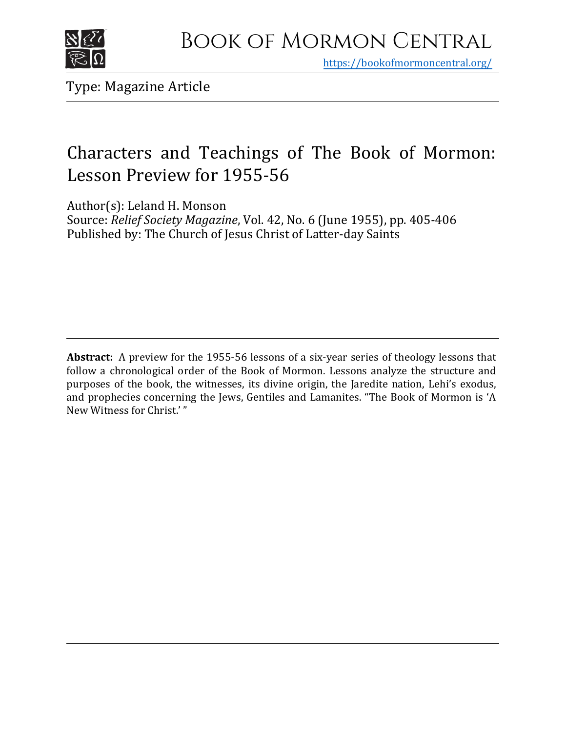

https[://bookofmormoncentral.org/](http://bookofmormoncentral.org/)

Type: Magazine Article

## Characters and Teachings of The Book of Mormon: Lesson Preview for 1955-56

Author(s): Leland H. Monson

Source: *Relief Society Magazine*, Vol. 42, No. 6 (June 1955), pp. 405-406 Published by: The Church of Jesus Christ of Latter-day Saints

**Abstract:** A preview for the 1955-56 lessons of a six-year series of theology lessons that follow a chronological order of the Book of Mormon. Lessons analyze the structure and purposes of the book, the witnesses, its divine origin, the Jaredite nation, Lehi's exodus, and prophecies concerning the Jews, Gentiles and Lamanites. "The Book of Mormon is 'A New Witness for Christ.' "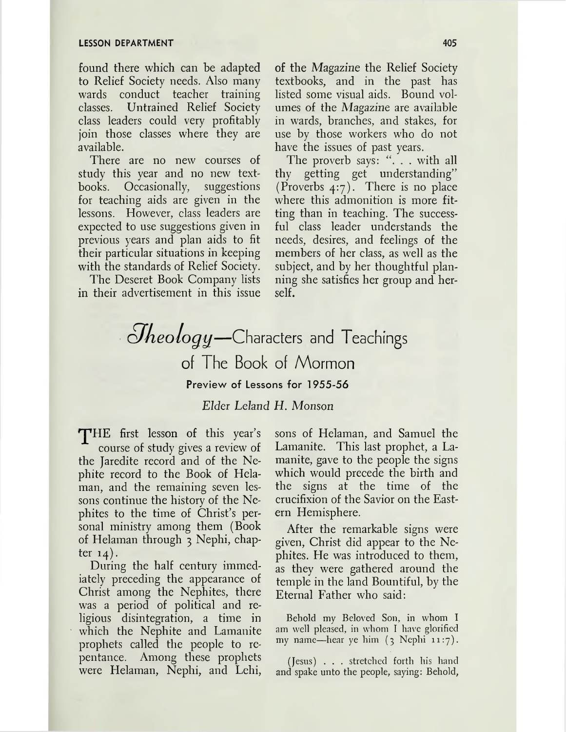found there which can be adapted to Relief Society needs. Also many wards conduct teacher training classes. Untrained Relief Society class leaders could very profitably join those classes where they are available.

There are no new courses of study this year and no new textbooks. Occasionally, suggestions for teaching aids are given in the lessons. However, class leaders are expected to use suggestions given in previous years and plan aids to fit their particular situations in keeping with the standards of Relief Society.

The Deseret Book Company lists in their advertisement in this issue

of the Magazine the Relief Society textbooks, and in the past has listed some visual aids. Bound volumes of the Magazine are available in wards, branches, and stakes, for use by those workers who do not have the issues of past years.

The proverb says: ". . . with all thy getting get understanding" (Proverbs 4:7). There is no place where this admonition is more fitting than in teaching. The successful class leader understands the needs, desires, and feelings of the members of her class, as well as the subject, and by her thoughtful planning she satisfies her group and herself.

## *i Meology*—Characters and Teachings of The Book of Mormon Preview of Lessons for 1955-56

## *Elder Leland H. Monson*

THE first lesson of this year's course of study gives a review of the Jaredite record and of the Nephite record to the Book of Helaman, and the remaining seven lessons continue the history of the Nephites to the time of Christ'<sup>s</sup> personal ministry among them (Book of Helaman through <sup>3</sup> Nephi, chapter  $14$ ).

During the half century immediately preceding the appearance of Christ among the Nephites, there was a period of political and religious disintegration, a time in which the Nephite and Lamanite prophets called the people to repentance. Among these prophets were Helaman, Nephi, and Lehi, sons of Helaman, and Samuel the Lamanite. This last prophet, a Lamanite, gave to the people the signs which would precede the birth and the signs at the time of the crucifixion of the Savior on the Eastern Hemisphere.

After the remarkable signs were given, Christ did appear to the Nephites. He was introduced to them, as they were gathered around the temple in the land Bountiful, by the Eternal Father who said:

Behold my Beloved Son, in whom I am well pleased, in whom I have glorified my name—hear ye him  $(3 \text{ Nephi } 11:7)$ .

(Jesus) . . . stretched forth his hand and spake unto the people, saying: Behold,